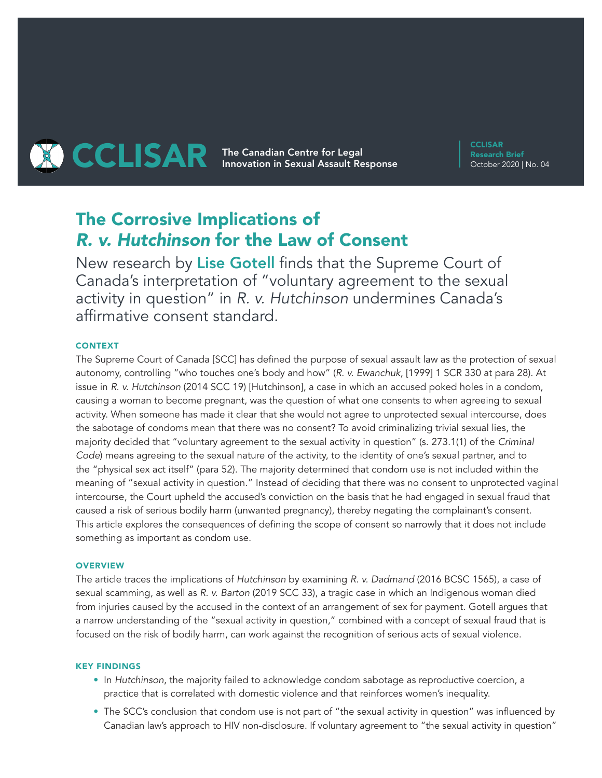# **THE CARRY The Canadian Centre for Legal CCLISAR** Innovation in Sexual Assault Response

**CCLISAR** Research Brief October 2020 | No. 04

# The Corrosive Implications of *R. v. Hutchinson* for the Law of Consent

New research by Lise Gotell finds that the Supreme Court of Canada's interpretation of "voluntary agreement to the sexual activity in question" in *R. v. Hutchinson* undermines Canada's affirmative consent standard.

# CONTEXT

The Supreme Court of Canada [SCC] has defined the purpose of sexual assault law as the protection of sexual autonomy, controlling "who touches one's body and how" (*R. v. Ewanchuk*, [1999] 1 SCR 330 at para 28). At issue in *R. v. Hutchinson* (2014 SCC 19) [Hutchinson], a case in which an accused poked holes in a condom, causing a woman to become pregnant, was the question of what one consents to when agreeing to sexual activity. When someone has made it clear that she would not agree to unprotected sexual intercourse, does the sabotage of condoms mean that there was no consent? To avoid criminalizing trivial sexual lies, the majority decided that "voluntary agreement to the sexual activity in question" (s. 273.1(1) of the *Criminal Code*) means agreeing to the sexual nature of the activity, to the identity of one's sexual partner, and to the "physical sex act itself" (para 52). The majority determined that condom use is not included within the meaning of "sexual activity in question." Instead of deciding that there was no consent to unprotected vaginal intercourse, the Court upheld the accused's conviction on the basis that he had engaged in sexual fraud that caused a risk of serious bodily harm (unwanted pregnancy), thereby negating the complainant's consent. This article explores the consequences of defining the scope of consent so narrowly that it does not include something as important as condom use.

## **OVERVIEW**

The article traces the implications of *Hutchinson* by examining *R. v. Dadmand* (2016 BCSC 1565), a case of sexual scamming, as well as *R. v. Barton* (2019 SCC 33), a tragic case in which an Indigenous woman died from injuries caused by the accused in the context of an arrangement of sex for payment. Gotell argues that a narrow understanding of the "sexual activity in question," combined with a concept of sexual fraud that is focused on the risk of bodily harm, can work against the recognition of serious acts of sexual violence.

#### KEY FINDINGS

- In *Hutchinson*, the majority failed to acknowledge condom sabotage as reproductive coercion, a practice that is correlated with domestic violence and that reinforces women's inequality.
- The SCC's conclusion that condom use is not part of "the sexual activity in question" was influenced by Canadian law's approach to HIV non-disclosure. If voluntary agreement to "the sexual activity in question"